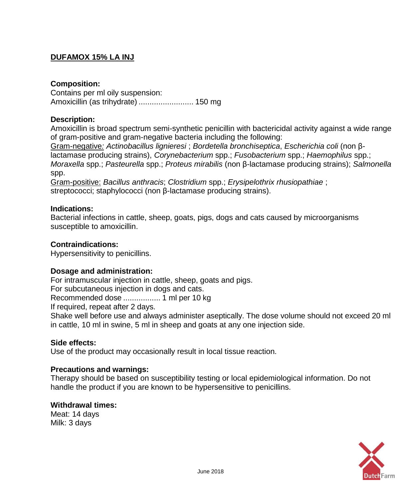# **DUFAMOX 15% LA INJ**

# **Composition:**

Contains per ml oily suspension: Amoxicillin (as trihydrate) ......................... 150 mg

# **Description:**

Amoxicillin is broad spectrum semi-synthetic penicillin with bactericidal activity against a wide range of gram-positive and gram-negative bacteria including the following:

Gram-negative*: Actinobacillus lignieresi* ; *Bordetella bronchiseptica*, *Escherichia coli* (non βlactamase producing strains), *Corynebacterium* spp.; *Fusobacterium* spp.; *Haemophilus* spp.; *Moraxella* spp.; *Pasteurella* spp.; *Proteus mirabilis* (non β-lactamase producing strains); *Salmonella*  spp.

Gram-positive: *Bacillus anthracis*; *Clostridium* spp.; *Erysipelothrix rhusiopathiae* ; streptococci; staphylococci (non β-lactamase producing strains).

# **Indications:**

Bacterial infections in cattle, sheep, goats, pigs, dogs and cats caused by microorganisms susceptible to amoxicillin.

# **Contraindications:**

Hypersensitivity to penicillins.

# **Dosage and administration:**

For intramuscular injection in cattle, sheep, goats and pigs. For subcutaneous injection in dogs and cats. Recommended dose ................. 1 ml per 10 kg If required, repeat after 2 days. Shake well before use and always administer aseptically. The dose volume should not exceed 20 ml in cattle, 10 ml in swine, 5 ml in sheep and goats at any one injection side.

#### **Side effects:**

Use of the product may occasionally result in local tissue reaction.

# **Precautions and warnings:**

Therapy should be based on susceptibility testing or local epidemiological information. Do not handle the product if you are known to be hypersensitive to penicillins.

#### **Withdrawal times:** Meat: 14 days

Milk: 3 days